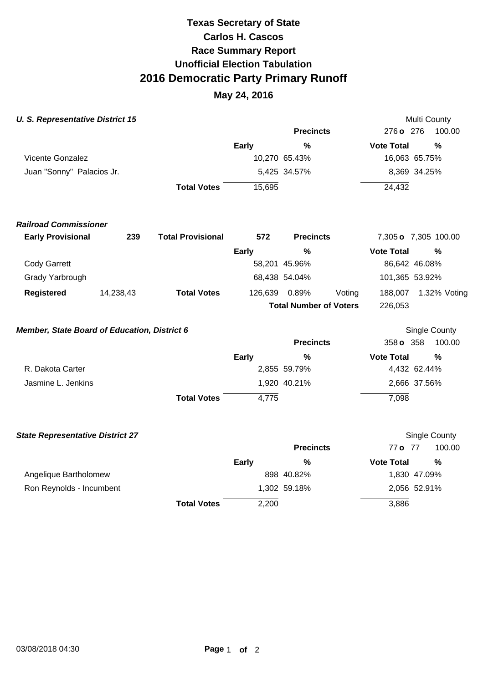# **Race Summary Report Unofficial Election Tabulation 2016 Democratic Party Primary Runoff Carlos H. Cascos Texas Secretary of State**

## **May 24, 2016**

| <b>U. S. Representative District 15</b>             |           |                          |               |                               |                   | Multi County         |  |
|-----------------------------------------------------|-----------|--------------------------|---------------|-------------------------------|-------------------|----------------------|--|
|                                                     |           |                          |               | <b>Precincts</b>              | 276 o 276         | 100.00               |  |
|                                                     |           |                          | Early         | $\%$                          | <b>Vote Total</b> | %                    |  |
| <b>Vicente Gonzalez</b>                             |           |                          | 10,270 65.43% |                               | 16,063 65.75%     |                      |  |
| Juan "Sonny" Palacios Jr.                           |           |                          |               | 5,425 34.57%                  |                   | 8,369 34.25%         |  |
|                                                     |           | <b>Total Votes</b>       | 15,695        |                               | 24,432            |                      |  |
| <b>Railroad Commissioner</b>                        |           |                          |               |                               |                   |                      |  |
| <b>Early Provisional</b>                            | 239       | <b>Total Provisional</b> | 572           | <b>Precincts</b>              |                   | 7,305 o 7,305 100.00 |  |
|                                                     |           |                          | <b>Early</b>  | $\%$                          | <b>Vote Total</b> | %                    |  |
| <b>Cody Garrett</b>                                 |           |                          |               | 58,201 45.96%                 |                   | 86,642 46.08%        |  |
| Grady Yarbrough                                     |           |                          |               | 68,438 54.04%                 |                   | 101,365 53.92%       |  |
| <b>Registered</b>                                   | 14,238,43 | <b>Total Votes</b>       | 126,639       | 0.89%<br>Voting               | 188,007           | 1.32% Voting         |  |
|                                                     |           |                          |               | <b>Total Number of Voters</b> | 226,053           |                      |  |
| <b>Member, State Board of Education, District 6</b> |           |                          |               |                               |                   | <b>Single County</b> |  |
|                                                     |           |                          |               | <b>Precincts</b>              | 358 o 358         | 100.00               |  |
|                                                     |           |                          | <b>Early</b>  | %                             | <b>Vote Total</b> | %                    |  |
| R. Dakota Carter                                    |           |                          |               | 2,855 59.79%                  |                   | 4,432 62.44%         |  |
| Jasmine L. Jenkins                                  |           |                          |               | 1,920 40.21%                  |                   | 2,666 37.56%         |  |
|                                                     |           | <b>Total Votes</b>       | 4,775         |                               | 7,098             |                      |  |
| <b>State Representative District 27</b>             |           |                          |               |                               |                   | <b>Single County</b> |  |
|                                                     |           |                          |               | <b>Precincts</b>              | 77 o 77           | 100.00               |  |
|                                                     |           |                          | <b>Early</b>  | $\%$                          | <b>Vote Total</b> | %                    |  |

Angelique Bartholomew 898 40.82% 1,830 47.09% Ron Reynolds - Incumbent 2,056 52.91% **Total Votes** 2,200 3,886